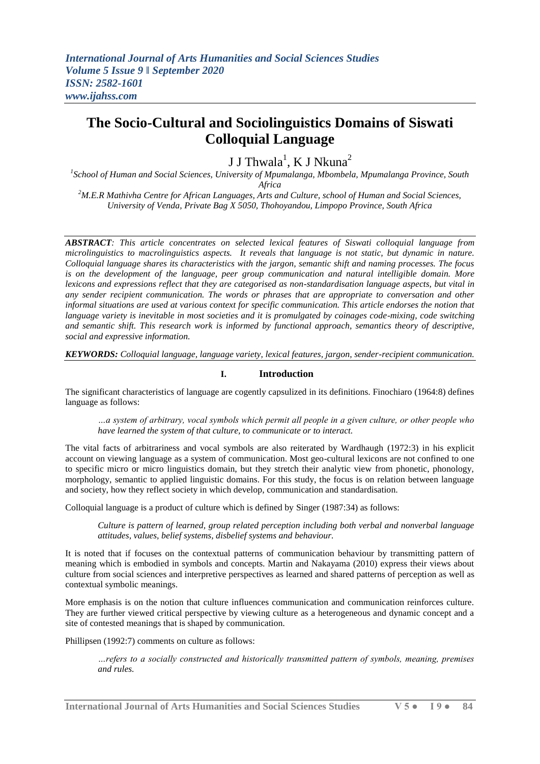# **The Socio-Cultural and Sociolinguistics Domains of Siswati Colloquial Language**

J J Thwala $^{\rm l}$ , K J Nkuna $^{\rm 2}$ 

*1 School of Human and Social Sciences, University of Mpumalanga, Mbombela, Mpumalanga Province, South Africa*

*<sup>2</sup>M.E.R Mathivha Centre for African Languages, Arts and Culture, school of Human and Social Sciences, University of Venda, Private Bag X 5050, Thohoyandou, Limpopo Province, South Africa*

*ABSTRACT: This article concentrates on selected lexical features of Siswati colloquial language from microlinguistics to macrolinguistics aspects. It reveals that language is not static, but dynamic in nature. Colloquial language shares its characteristics with the jargon, semantic shift and naming processes. The focus is on the development of the language, peer group communication and natural intelligible domain. More lexicons and expressions reflect that they are categorised as non-standardisation language aspects, but vital in any sender recipient communication. The words or phrases that are appropriate to conversation and other informal situations are used at various context for specific communication. This article endorses the notion that language variety is inevitable in most societies and it is promulgated by coinages code-mixing, code switching and semantic shift. This research work is informed by functional approach, semantics theory of descriptive, social and expressive information.* 

*KEYWORDS: Colloquial language, language variety, lexical features, jargon, sender-recipient communication.* 

# **I. Introduction**

The significant characteristics of language are cogently capsulized in its definitions. Finochiaro (1964:8) defines language as follows:

*…a system of arbitrary, vocal symbols which permit all people in a given culture, or other people who have learned the system of that culture, to communicate or to interact.*

The vital facts of arbitrariness and vocal symbols are also reiterated by Wardhaugh (1972:3) in his explicit account on viewing language as a system of communication. Most geo-cultural lexicons are not confined to one to specific micro or micro linguistics domain, but they stretch their analytic view from phonetic, phonology, morphology, semantic to applied linguistic domains. For this study, the focus is on relation between language and society, how they reflect society in which develop, communication and standardisation.

Colloquial language is a product of culture which is defined by Singer (1987:34) as follows:

*Culture is pattern of learned, group related perception including both verbal and nonverbal language attitudes, values, belief systems, disbelief systems and behaviour.*

It is noted that if focuses on the contextual patterns of communication behaviour by transmitting pattern of meaning which is embodied in symbols and concepts. Martin and Nakayama (2010) express their views about culture from social sciences and interpretive perspectives as learned and shared patterns of perception as well as contextual symbolic meanings.

More emphasis is on the notion that culture influences communication and communication reinforces culture. They are further viewed critical perspective by viewing culture as a heterogeneous and dynamic concept and a site of contested meanings that is shaped by communication.

Phillipsen (1992:7) comments on culture as follows:

*…refers to a socially constructed and historically transmitted pattern of symbols, meaning, premises and rules.*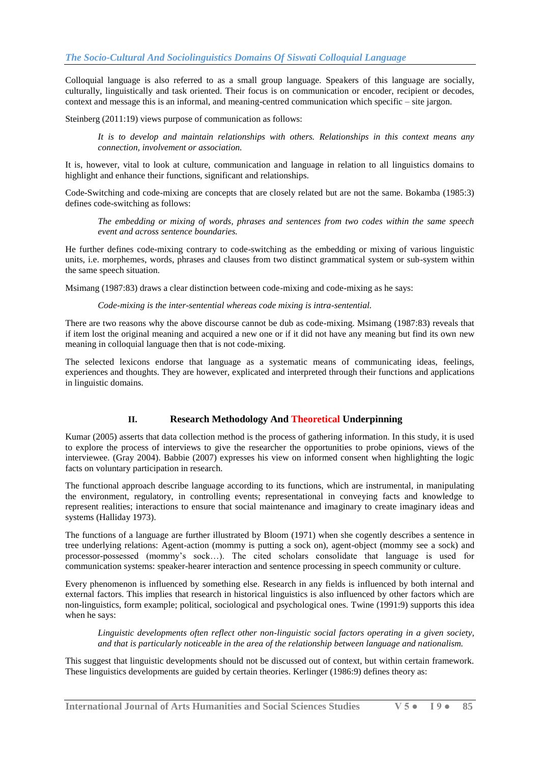Colloquial language is also referred to as a small group language. Speakers of this language are socially, culturally, linguistically and task oriented. Their focus is on communication or encoder, recipient or decodes, context and message this is an informal, and meaning-centred communication which specific – site jargon.

Steinberg (2011:19) views purpose of communication as follows:

*It is to develop and maintain relationships with others. Relationships in this context means any connection, involvement or association.* 

It is, however, vital to look at culture, communication and language in relation to all linguistics domains to highlight and enhance their functions, significant and relationships.

Code-Switching and code-mixing are concepts that are closely related but are not the same. Bokamba (1985:3) defines code-switching as follows:

*The embedding or mixing of words, phrases and sentences from two codes within the same speech event and across sentence boundaries.*

He further defines code-mixing contrary to code-switching as the embedding or mixing of various linguistic units, i.e. morphemes, words, phrases and clauses from two distinct grammatical system or sub-system within the same speech situation.

Msimang (1987:83) draws a clear distinction between code-mixing and code-mixing as he says:

*Code-mixing is the inter-sentential whereas code mixing is intra-sentential.*

There are two reasons why the above discourse cannot be dub as code-mixing. Msimang (1987:83) reveals that if item lost the original meaning and acquired a new one or if it did not have any meaning but find its own new meaning in colloquial language then that is not code-mixing.

The selected lexicons endorse that language as a systematic means of communicating ideas, feelings, experiences and thoughts. They are however, explicated and interpreted through their functions and applications in linguistic domains.

# **II. Research Methodology And Theoretical Underpinning**

Kumar (2005) asserts that data collection method is the process of gathering information. In this study, it is used to explore the process of interviews to give the researcher the opportunities to probe opinions, views of the interviewee. (Gray 2004). Babbie (2007) expresses his view on informed consent when highlighting the logic facts on voluntary participation in research.

The functional approach describe language according to its functions, which are instrumental, in manipulating the environment, regulatory, in controlling events; representational in conveying facts and knowledge to represent realities; interactions to ensure that social maintenance and imaginary to create imaginary ideas and systems (Halliday 1973).

The functions of a language are further illustrated by Bloom (1971) when she cogently describes a sentence in tree underlying relations: Agent-action (mommy is putting a sock on), agent-object (mommy see a sock) and processor-possessed (mommy's sock…). The cited scholars consolidate that language is used for communication systems: speaker-hearer interaction and sentence processing in speech community or culture.

Every phenomenon is influenced by something else. Research in any fields is influenced by both internal and external factors. This implies that research in historical linguistics is also influenced by other factors which are non-linguistics, form example; political, sociological and psychological ones. Twine (1991:9) supports this idea when he says:

*Linguistic developments often reflect other non-linguistic social factors operating in a given society, and that is particularly noticeable in the area of the relationship between language and nationalism.*

This suggest that linguistic developments should not be discussed out of context, but within certain framework. These linguistics developments are guided by certain theories. Kerlinger (1986:9) defines theory as: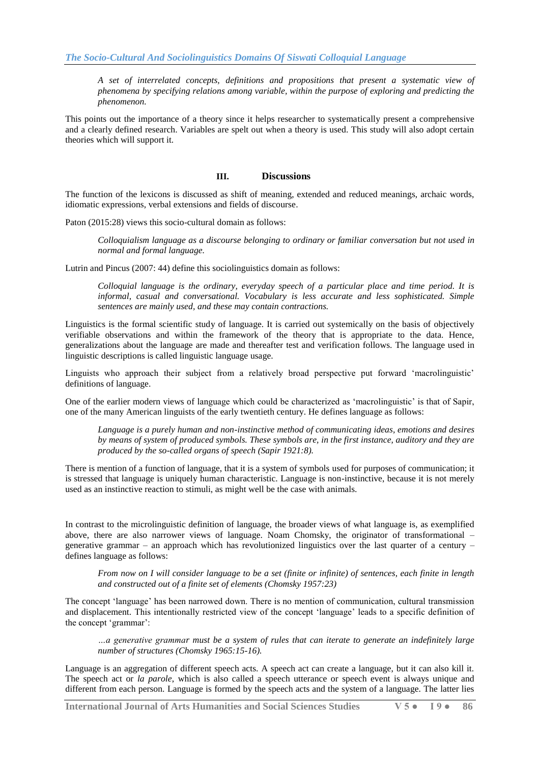*A set of interrelated concepts, definitions and propositions that present a systematic view of phenomena by specifying relations among variable, within the purpose of exploring and predicting the phenomenon.*

This points out the importance of a theory since it helps researcher to systematically present a comprehensive and a clearly defined research. Variables are spelt out when a theory is used. This study will also adopt certain theories which will support it.

# **III. Discussions**

The function of the lexicons is discussed as shift of meaning, extended and reduced meanings, archaic words, idiomatic expressions, verbal extensions and fields of discourse.

Paton (2015:28) views this socio-cultural domain as follows:

*Colloquialism language as a discourse belonging to ordinary or familiar conversation but not used in normal and formal language.*

Lutrin and Pincus (2007: 44) define this sociolinguistics domain as follows:

*Colloquial language is the ordinary, everyday speech of a particular place and time period. It is informal, casual and conversational. Vocabulary is less accurate and less sophisticated. Simple sentences are mainly used, and these may contain contractions.*

Linguistics is the formal scientific study of language. It is carried out systemically on the basis of objectively verifiable observations and within the framework of the theory that is appropriate to the data. Hence, generalizations about the language are made and thereafter test and verification follows. The language used in linguistic descriptions is called linguistic language usage.

Linguists who approach their subject from a relatively broad perspective put forward 'macrolinguistic' definitions of language.

One of the earlier modern views of language which could be characterized as 'macrolinguistic' is that of Sapir, one of the many American linguists of the early twentieth century. He defines language as follows:

*Language is a purely human and non-instinctive method of communicating ideas, emotions and desires by means of system of produced symbols. These symbols are, in the first instance, auditory and they are produced by the so-called organs of speech (Sapir 1921:8).*

There is mention of a function of language, that it is a system of symbols used for purposes of communication; it is stressed that language is uniquely human characteristic. Language is non-instinctive, because it is not merely used as an instinctive reaction to stimuli, as might well be the case with animals.

In contrast to the microlinguistic definition of language, the broader views of what language is, as exemplified above, there are also narrower views of language. Noam Chomsky, the originator of transformational – generative grammar – an approach which has revolutionized linguistics over the last quarter of a century – defines language as follows:

*From now on I will consider language to be a set (finite or infinite) of sentences, each finite in length and constructed out of a finite set of elements (Chomsky 1957:23)*

The concept 'language' has been narrowed down. There is no mention of communication, cultural transmission and displacement. This intentionally restricted view of the concept 'language' leads to a specific definition of the concept 'grammar':

*…a generative grammar must be a system of rules that can iterate to generate an indefinitely large number of structures (Chomsky 1965:15-16).*

Language is an aggregation of different speech acts. A speech act can create a language, but it can also kill it. The speech act or *la parole*, which is also called a speech utterance or speech event is always unique and different from each person. Language is formed by the speech acts and the system of a language. The latter lies

**International Journal of Arts Humanities and Social Sciences Studies V 5 ● I 9 ● 86**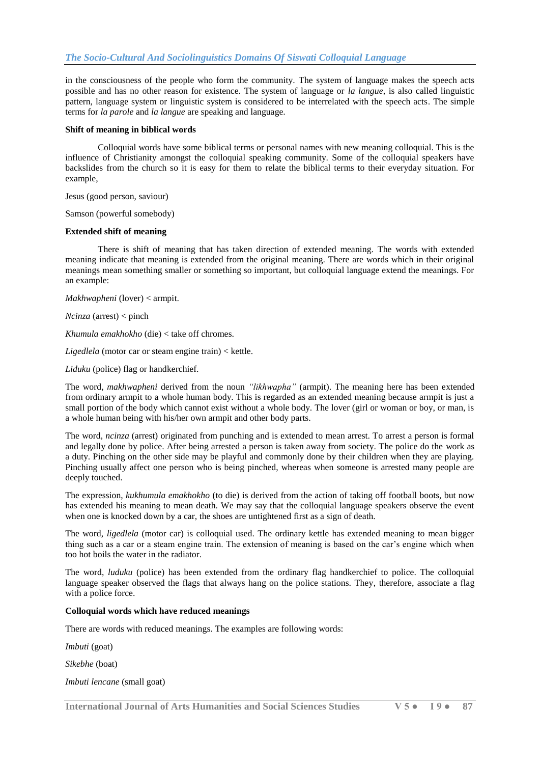in the consciousness of the people who form the community. The system of language makes the speech acts possible and has no other reason for existence. The system of language or *la langue*, is also called linguistic pattern, language system or linguistic system is considered to be interrelated with the speech acts. The simple terms for *la parole* and *la langue* are speaking and language.

#### **Shift of meaning in biblical words**

Colloquial words have some biblical terms or personal names with new meaning colloquial. This is the influence of Christianity amongst the colloquial speaking community. Some of the colloquial speakers have backslides from the church so it is easy for them to relate the biblical terms to their everyday situation. For example,

Jesus (good person, saviour)

Samson (powerful somebody)

#### **Extended shift of meaning**

There is shift of meaning that has taken direction of extended meaning. The words with extended meaning indicate that meaning is extended from the original meaning. There are words which in their original meanings mean something smaller or something so important, but colloquial language extend the meanings. For an example:

*Makhwapheni* (lover) < armpit.

*Ncinza* (arrest) < pinch

*Khumula emakhokho* (die) < take off chromes.

*Ligedlela* (motor car or steam engine train) < kettle.

*Liduku* (police) flag or handkerchief.

The word, *makhwapheni* derived from the noun *"likhwapha"* (armpit). The meaning here has been extended from ordinary armpit to a whole human body. This is regarded as an extended meaning because armpit is just a small portion of the body which cannot exist without a whole body. The lover (girl or woman or boy, or man, is a whole human being with his/her own armpit and other body parts.

The word, *ncinza* (arrest) originated from punching and is extended to mean arrest. To arrest a person is formal and legally done by police. After being arrested a person is taken away from society. The police do the work as a duty. Pinching on the other side may be playful and commonly done by their children when they are playing. Pinching usually affect one person who is being pinched, whereas when someone is arrested many people are deeply touched.

The expression, *kukhumula emakhokho* (to die) is derived from the action of taking off football boots, but now has extended his meaning to mean death. We may say that the colloquial language speakers observe the event when one is knocked down by a car, the shoes are untightened first as a sign of death.

The word, *ligedlela* (motor car) is colloquial used. The ordinary kettle has extended meaning to mean bigger thing such as a car or a steam engine train. The extension of meaning is based on the car's engine which when too hot boils the water in the radiator.

The word, *luduku* (police) has been extended from the ordinary flag handkerchief to police. The colloquial language speaker observed the flags that always hang on the police stations. They, therefore, associate a flag with a police force.

## **Colloquial words which have reduced meanings**

There are words with reduced meanings. The examples are following words:

*Imbuti* (goat)

*Sikebhe* (boat)

*Imbuti lencane* (small goat)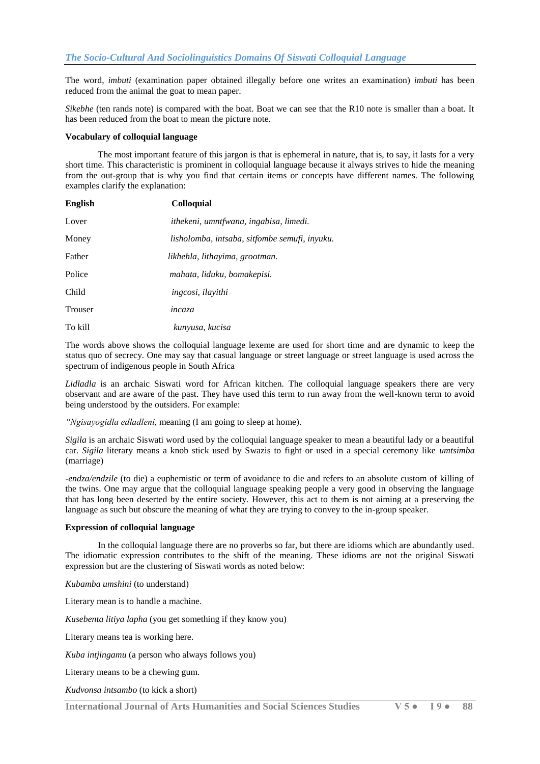The word, *imbuti* (examination paper obtained illegally before one writes an examination) *imbuti* has been reduced from the animal the goat to mean paper.

*Sikebhe* (ten rands note) is compared with the boat. Boat we can see that the R10 note is smaller than a boat. It has been reduced from the boat to mean the picture note.

#### **Vocabulary of colloquial language**

The most important feature of this jargon is that is ephemeral in nature, that is, to say, it lasts for a very short time. This characteristic is prominent in colloquial language because it always strives to hide the meaning from the out-group that is why you find that certain items or concepts have different names. The following examples clarify the explanation:

| English        | <b>Colloquial</b>                             |  |
|----------------|-----------------------------------------------|--|
| Lover          | ithekeni, umntfwana, ingabisa, limedi.        |  |
| Money          | lisholomba, intsaba, sitfombe semufi, inyuku. |  |
| Father         | likhehla, lithayima, grootman.                |  |
| Police         | mahata, liduku, bomakepisi.                   |  |
| Child          | ingcosi, ilayithi                             |  |
| <b>Trouser</b> | incaza                                        |  |
| To kill        | kunyusa, kucisa                               |  |

The words above shows the colloquial language lexeme are used for short time and are dynamic to keep the status quo of secrecy. One may say that casual language or street language or street language is used across the spectrum of indigenous people in South Africa

*Lidladla* is an archaic Siswati word for African kitchen. The colloquial language speakers there are very observant and are aware of the past. They have used this term to run away from the well-known term to avoid being understood by the outsiders. For example:

*"Ngisayogidla edladleni,* meaning (I am going to sleep at home).

*Sigila* is an archaic Siswati word used by the colloquial language speaker to mean a beautiful lady or a beautiful car. *Sigila* literary means a knob stick used by Swazis to fight or used in a special ceremony like *umtsimba* (marriage)

*-endza/endzile* (to die) a euphemistic or term of avoidance to die and refers to an absolute custom of killing of the twins. One may argue that the colloquial language speaking people a very good in observing the language that has long been deserted by the entire society. However, this act to them is not aiming at a preserving the language as such but obscure the meaning of what they are trying to convey to the in-group speaker.

## **Expression of colloquial language**

In the colloquial language there are no proverbs so far, but there are idioms which are abundantly used. The idiomatic expression contributes to the shift of the meaning. These idioms are not the original Siswati expression but are the clustering of Siswati words as noted below:

*Kubamba umshini* (to understand)

Literary mean is to handle a machine.

*Kusebenta litiya lapha* (you get something if they know you)

Literary means tea is working here.

*Kuba intjingamu* (a person who always follows you)

Literary means to be a chewing gum.

*Kudvonsa intsambo* (to kick a short)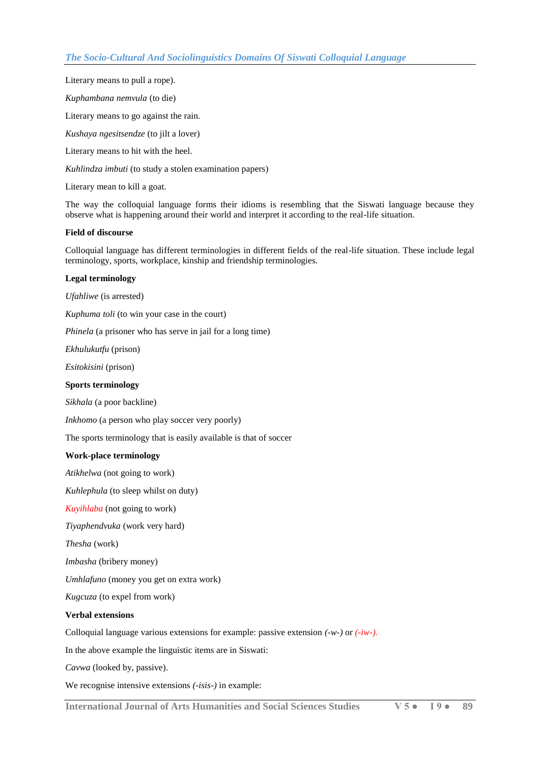Literary means to pull a rope).

*Kuphambana nemvula* (to die)

Literary means to go against the rain.

*Kushaya ngesitsendze* (to jilt a lover)

Literary means to hit with the heel.

*Kuhlindza imbuti* (to study a stolen examination papers)

Literary mean to kill a goat.

The way the colloquial language forms their idioms is resembling that the Siswati language because they observe what is happening around their world and interpret it according to the real-life situation.

#### **Field of discourse**

Colloquial language has different terminologies in different fields of the real-life situation. These include legal terminology, sports, workplace, kinship and friendship terminologies.

#### **Legal terminology**

*Ufahliwe* (is arrested)

*Kuphuma toli* (to win your case in the court)

*Phinela* (a prisoner who has serve in jail for a long time)

*Ekhulukutfu* (prison)

*Esitokisini* (prison)

#### **Sports terminology**

*Sikhala* (a poor backline)

*Inkhomo* (a person who play soccer very poorly)

The sports terminology that is easily available is that of soccer

#### **Work-place terminology**

*Atikhelwa* (not going to work)

*Kuhlephula* (to sleep whilst on duty)

*Kuyihlaba* (not going to work)

*Tiyaphendvuka* (work very hard)

*Thesha* (work)

*Imbasha* (bribery money)

*Umhlafuno* (money you get on extra work)

*Kugcuza* (to expel from work)

## **Verbal extensions**

Colloquial language various extensions for example: passive extension *(-w-)* or *(-iw-).*

In the above example the linguistic items are in Siswati:

*Cavwa* (looked by, passive).

We recognise intensive extensions *(-isis-)* in example:

**International Journal of Arts Humanities and Social Sciences Studies V 5 ● I 9 ● 89**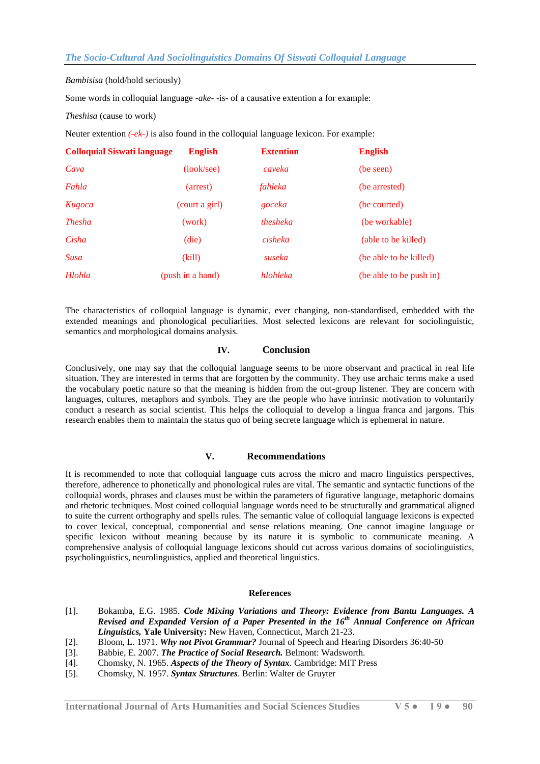*Bambisisa* (hold/hold seriously)

Some words in colloquial language *-ake-* -is- of a causative extention a for example:

*Theshisa* (cause to work)

Neuter extention *(-ek-)* is also found in the colloquial language lexicon. For example:

| <b>Colloquial Siswati language</b> | <b>English</b>   | <b>Extention</b> | <b>English</b>          |
|------------------------------------|------------------|------------------|-------------------------|
| Cava                               | (look/sec)       | caveka           | (be seen)               |
| Fahla                              | (arrest)         | fahleka          | (be arrested)           |
| Kugoca                             | (court a girl)   | goceka           | (be courted)            |
| <i>Thesha</i>                      | (work)           | thesheka         | (be workable)           |
| Cisha                              | (die)            | cisheka          | (able to be killed)     |
| <b>Susa</b>                        | (kill)           | suseka           | (be able to be killed)  |
| Hlohla                             | (push in a hand) | hlohleka         | (be able to be push in) |

The characteristics of colloquial language is dynamic, ever changing, non-standardised, embedded with the extended meanings and phonological peculiarities. Most selected lexicons are relevant for sociolinguistic, semantics and morphological domains analysis.

## **IV. Conclusion**

Conclusively, one may say that the colloquial language seems to be more observant and practical in real life situation. They are interested in terms that are forgotten by the community. They use archaic terms make a used the vocabulary poetic nature so that the meaning is hidden from the out-group listener. They are concern with languages, cultures, metaphors and symbols. They are the people who have intrinsic motivation to voluntarily conduct a research as social scientist. This helps the colloquial to develop a lingua franca and jargons. This research enables them to maintain the status quo of being secrete language which is ephemeral in nature.

# **V. Recommendations**

It is recommended to note that colloquial language cuts across the micro and macro linguistics perspectives, therefore, adherence to phonetically and phonological rules are vital. The semantic and syntactic functions of the colloquial words, phrases and clauses must be within the parameters of figurative language, metaphoric domains and rhetoric techniques. Most coined colloquial language words need to be structurally and grammatical aligned to suite the current orthography and spells rules. The semantic value of colloquial language lexicons is expected to cover lexical, conceptual, componential and sense relations meaning. One cannot imagine language or specific lexicon without meaning because by its nature it is symbolic to communicate meaning. A comprehensive analysis of colloquial language lexicons should cut across various domains of sociolinguistics, psycholinguistics, neurolinguistics, applied and theoretical linguistics.

#### **References**

- [1]. Bokamba, E.G. 1985. *Code Mixing Variations and Theory: Evidence from Bantu Languages. A Revised and Expanded Version of a Paper Presented in the 16th Annual Conference on African Linguistics,* **Yale University:** New Haven, Connecticut, March 21-23.
- [2]. Bloom, L. 1971. *Why not Pivot Grammar?* Journal of Speech and Hearing Disorders 36:40-50
- [3]. Babbie, E. 2007. *The Practice of Social Research.* Belmont: Wadsworth.
- [4]. Chomsky, N. 1965. *Aspects of the Theory of Syntax*. Cambridge: MIT Press
- [5]. Chomsky, N. 1957. *Syntax Structures*. Berlin: Walter de Gruyter